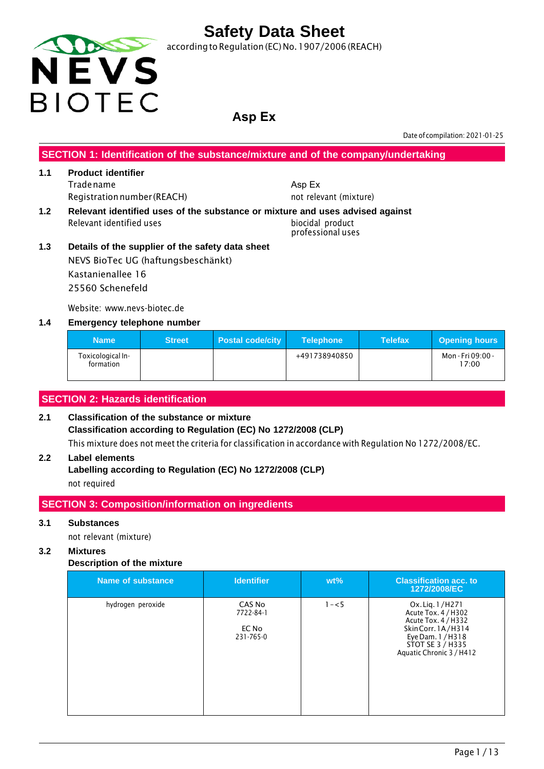

according to Regulation (EC) No.1907/2006 (REACH)

### **Asp Ex**

Date of compilation: 2021-01-25

**SECTION 1: Identification of the substance/mixture and of the company/undertaking**

#### **1.1 Product identifier** Tradename Registrationnumber (REACH)

- Asp Ex not relevant (mixture)
- **1.2 Relevant identified uses of the substance or mixture and uses advised against** Relevant identified uses biocidal product professional uses
- **1.3 Details of the supplier of the safety data sheet** NEVS BioTec UG (haftungsbeschänkt) Kastanienallee 16 25560 Schenefeld

Website: www.nevs-biotec.de

#### **1.4 Emergency telephone number**

| <b>Name</b>                    | <b>Street</b> | <b>Postal code/city</b> | <b>Telephone</b> | <b>Telefax</b> | <b>Opening hours</b>       |
|--------------------------------|---------------|-------------------------|------------------|----------------|----------------------------|
| Toxicological In-<br>formation |               |                         | +491738940850    |                | Mon - Fri 09:00 -<br>17:00 |

### **SECTION 2: Hazards identification**

#### **2.1 Classification of the substance or mixture Classification according to Regulation (EC) No 1272/2008 (CLP)** This mixture does not meet the criteria for classification in accordance with Regulation No 1272/2008/EC.

#### **2.2 Label elements**

**Labelling according to Regulation (EC) No 1272/2008 (CLP)** not required

#### **SECTION 3: Composition/information on ingredients**

#### **3.1 Substances**

not relevant (mixture)

#### **3.2 Mixtures**

#### **Description of the mixture**

| Name of substance | <b>Identifier</b>                         | $wt\%$  | <b>Classification acc. to</b><br>1272/2008/EC                                                                                                            |
|-------------------|-------------------------------------------|---------|----------------------------------------------------------------------------------------------------------------------------------------------------------|
| hydrogen peroxide | CAS No<br>7722-84-1<br>EC No<br>231-765-0 | $1 - 5$ | Ox. Lig. 1/H271<br>Acute Tox. 4 / H302<br>Acute Tox. 4 / H332<br>Skin Corr. 1A/H314<br>Eye Dam. 1 / H318<br>STOT SE 3 / H335<br>Aquatic Chronic 3 / H412 |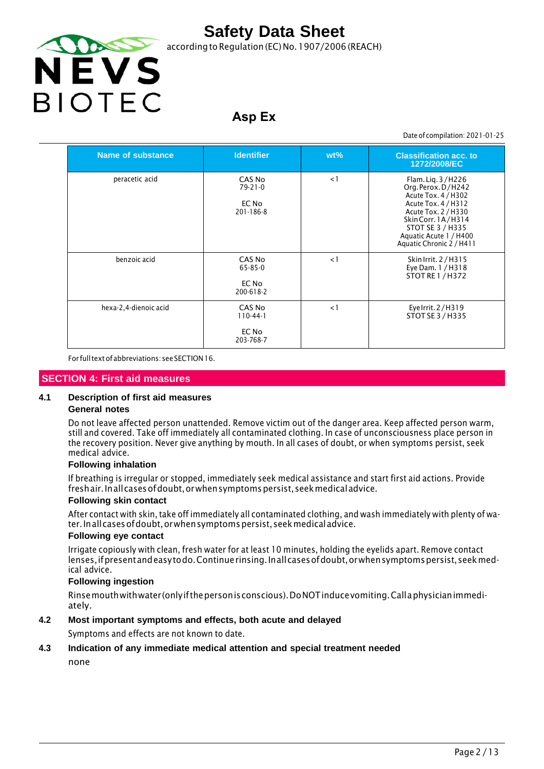

according to Regulation (EC) No. 1907/2006 (REACH)

## **Asp Ex**

Date of compilation: 2021-01-25

| Name of substance     | <b>Identifier</b>                             | $wt\%$   | <b>Classification acc. to</b><br>1272/2008/EC                                                                                                                                                                |
|-----------------------|-----------------------------------------------|----------|--------------------------------------------------------------------------------------------------------------------------------------------------------------------------------------------------------------|
| peracetic acid        | CAS No<br>$79 - 21 - 0$<br>EC No<br>201-186-8 | $\lt 1$  | Flam. Lig. 3/H226<br>Org. Perox. D/H242<br>Acute Tox. 4 / H302<br>Acute Tox. 4 / H312<br>Acute Tox. 2 / H330<br>Skin Corr. 1A/H314<br>STOT SE 3 / H335<br>Aquatic Acute 1 / H400<br>Aquatic Chronic 2 / H411 |
| benzoic acid          | CAS No<br>65-85-0<br>EC No<br>200-618-2       | $\leq$ 1 | Skin Irrit. 2 / H315<br>Eye Dam. 1 / H318<br><b>STOT RE 1 / H372</b>                                                                                                                                         |
| hexa-2,4-dienoic acid | CAS No<br>$110-44-1$<br>EC No<br>203-768-7    | $\leq$ 1 | Eye Irrit. 2/H319<br>STOT SE 3 / H335                                                                                                                                                                        |

For full text of abbreviations: see SECTION 16.

#### **SECTION 4: First aid measures**

#### **4.1 Description of first aid measures**

#### **General notes**

Do not leave affected person unattended. Remove victim out of the danger area. Keep affected person warm, still and covered. Take off immediately all contaminated clothing. In case of unconsciousness place person in the recovery position. Never give anything by mouth. In all cases of doubt, or when symptoms persist, seek medical advice.

#### **Following inhalation**

If breathing is irregular or stopped, immediately seek medical assistance and start first aid actions. Provide fresh air. In all cases of doubt, or when symptoms persist, seek medical advice.

#### **Following skin contact**

After contact with skin, take off immediately all contaminated clothing, and wash immediately with plenty of water. In all cases of doubt, or when symptoms persist, seek medical advice.

#### **Following eye contact**

Irrigate copiously with clean, fresh water for at least 10 minutes, holding the eyelids apart. Remove contact lenses, if present and easy to do. Continue rinsing. In all cases of doubt, or when symptoms persist, seek medical advice.

#### **Following ingestion**

Rinse mouth with water (only ifthe person is conscious). DoNOT induce vomiting. Call a physician immediately.

#### **4.2 Most important symptoms and effects, both acute and delayed**

Symptoms and effects are not known to date.

#### **4.3 Indication of any immediate medical attention and special treatment needed**

none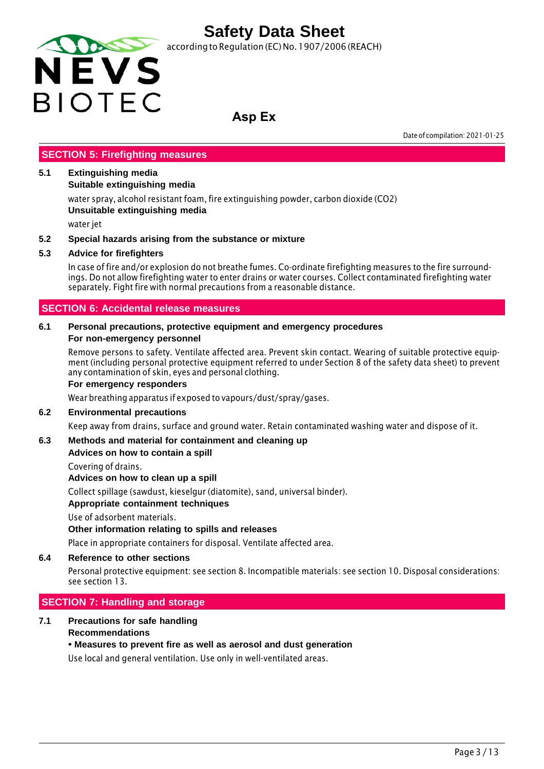

according to Regulation (EC) No. 1907/2006 (REACH)

### **Asp Ex**

Date of compilation: 2021-01-25

#### **SECTION 5: Firefighting measures**

#### **5.1 Extinguishing media**

**Suitable extinguishing media**

water spray, alcohol resistant foam, fire extinguishing powder, carbon dioxide (CO2) **Unsuitable extinguishing media**

water jet

#### **5.2 Special hazards arising from the substance or mixture**

#### **5.3 Advice for firefighters**

In case of fire and/or explosion do not breathe fumes. Co-ordinate firefighting measures to the fire surroundings. Do not allow firefighting water to enter drains or water courses. Collect contaminated firefighting water separately. Fight fire with normal precautions from a reasonable distance.

#### **SECTION 6: Accidental release measures**

#### **6.1 Personal precautions, protective equipment and emergency procedures For non-emergency personnel**

Remove persons to safety. Ventilate affected area. Prevent skin contact. Wearing of suitable protective equipment (including personal protective equipment referred to under Section 8 of the safety data sheet) to prevent any contamination of skin, eyes and personal clothing.

#### **For emergency responders**

Wear breathing apparatus if exposed to vapours/dust/spray/gases.

#### **6.2 Environmental precautions**

Keep away from drains, surface and ground water. Retain contaminated washing water and dispose of it.

#### **6.3 Methods and material for containment and cleaning up**

#### **Advices on how to contain a spill**

Covering of drains.

**Advices on how to clean up a spill**

Collect spillage (sawdust, kieselgur (diatomite), sand, universal binder).

#### **Appropriate containment techniques**

Use of adsorbent materials.

#### **Other information relating to spills and releases**

Place in appropriate containers for disposal. Ventilate affected area.

#### **6.4 Reference to other sections**

Personal protective equipment: see section 8. Incompatible materials: see section 10. Disposal considerations: see section 13.

#### **SECTION 7: Handling and storage**

#### **7.1 Precautions for safe handling Recommendations**

#### **• Measures to prevent fire as well as aerosol and dust generation**

Use local and general ventilation. Use only in well-ventilated areas.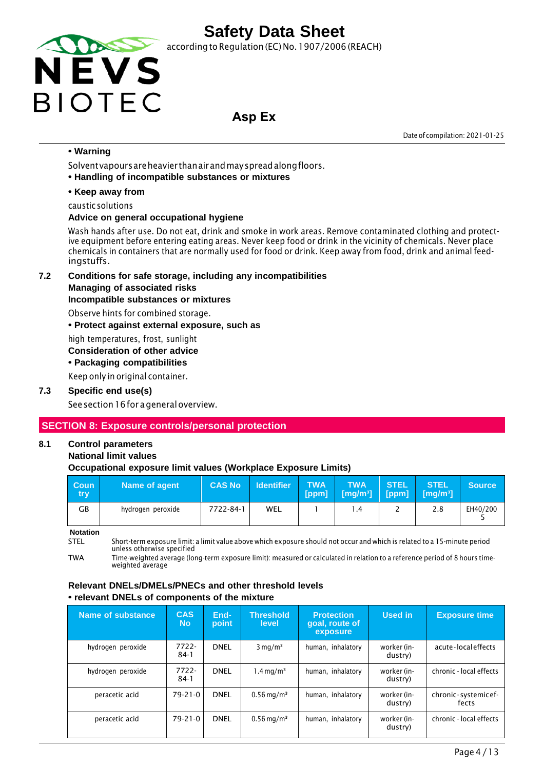

according to Regulation (EC) No. 1907/2006 (REACH)

### **Asp Ex**

Date of compilation: 2021-01-25

#### **• Warning**

Solvent vapours are heavier than air and may spread along floors.

**• Handling of incompatible substances or mixtures**

#### **• Keep away from**

caustic solutions

#### **Advice on general occupational hygiene**

Wash hands after use. Do not eat, drink and smoke in work areas. Remove contaminated clothing and protective equipment before entering eating areas. Never keep food or drink in the vicinity of chemicals. Never place chemicals in containers that are normally used for food or drink. Keep away from food, drink and animal feedingstuffs.

**7.2 Conditions for safe storage, including any incompatibilities** 

#### **Managing of associated risks**

#### **Incompatible substances or mixtures**

Observe hints for combined storage.

**• Protect against external exposure, such as**

high temperatures, frost, sunlight

#### **Consideration of other advice**

**• Packaging compatibilities**

Keep only in original container.

#### **7.3 Specific end use(s)**

See section 16 for a general overview.

### **SECTION 8: Exposure controls/personal protection**

### **8.1 Control parameters**

#### **National limit values**

#### **Occupational exposure limit values (Workplace Exposure Limits)**

| <b>Coun</b><br>try | Name of agent     | <b>CAS No</b> | <b>Identifier</b> | <b>TWA</b><br>[ppm] | <b>TWA</b><br>$[mg/m3]$ [ppm] $[mg/m3]$ | STEL | <b>STEL</b> | <b>Source</b> |
|--------------------|-------------------|---------------|-------------------|---------------------|-----------------------------------------|------|-------------|---------------|
| <b>GB</b>          | hydrogen peroxide | 7722-84-1     | WEL               |                     | .4                                      |      | 2.8         | EH40/200      |

**Notation**

STEL Short-term exposure limit: a limit value above which exposure should not occur and which is related to a 15-minute period unless otherwise specified

TWA Time-weighted average (long-term exposure limit): measured or calculated in relation to a reference period of 8 hours timeweighted average

#### **Relevant DNELs/DMELs/PNECs and other threshold levels • relevant DNELs of components of the mixture**

| Name of substance | <b>CAS</b><br><b>No</b> | End-<br>point | <b>Threshold</b><br>level | <b>Protection</b><br>goal, route of<br>exposure | Used in                | <b>Exposure time</b>         |
|-------------------|-------------------------|---------------|---------------------------|-------------------------------------------------|------------------------|------------------------------|
| hydrogen peroxide | $7722 -$<br>$84-1$      | <b>DNEL</b>   | $3 \text{ mg/m}^3$        | human, inhalatory                               | worker (in-<br>dustry) | acute-localeffects           |
| hydrogen peroxide | 7722-<br>$84-1$         | <b>DNEL</b>   | $1.4 \,\mathrm{mq/m^3}$   | human, inhalatory                               | worker (in-<br>dustry) | chronic - local effects      |
| peracetic acid    | $79 - 21 - 0$           | <b>DNEL</b>   | $0.56 \,\mathrm{mg/m^3}$  | human, inhalatory                               | worker (in-<br>dustry) | chronic-systemicef-<br>fects |
| peracetic acid    | $79 - 21 - 0$           | <b>DNEL</b>   | $0.56 \,\mathrm{mg/m^3}$  | human, inhalatory                               | worker (in-<br>dustry) | chronic - local effects      |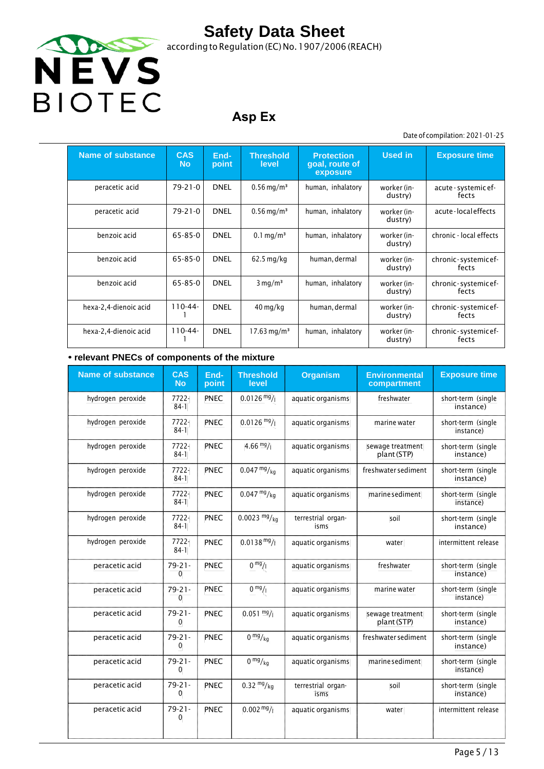

according to Regulation (EC) No.1907/2006 (REACH)

## **Asp Ex**

#### Date of compilation: 2021-01-25

| Name of substance     | <b>CAS</b><br><b>No</b> | End-<br>point | <b>Threshold</b><br>level | <b>Protection</b><br>goal, route of<br>exposure | <b>Used in</b>         | <b>Exposure time</b>          |
|-----------------------|-------------------------|---------------|---------------------------|-------------------------------------------------|------------------------|-------------------------------|
| peracetic acid        | $79 - 21 - 0$           | <b>DNEL</b>   | $0.56 \,\mathrm{mg/m^3}$  | human, inhalatory                               | worker (in-<br>dustry) | acute - systemic ef-<br>fects |
| peracetic acid        | $79 - 21 - 0$           | <b>DNEL</b>   | $0.56 \,\mathrm{mg/m^3}$  | human, inhalatory                               | worker (in-<br>dustry) | acute-localeffects            |
| benzoic acid          | 65-85-0                 | <b>DNEL</b>   | $0.1 \,\mathrm{mq/m^3}$   | human, inhalatory                               | worker (in-<br>dustry) | chronic - local effects       |
| benzoic acid          | $65 - 85 - 0$           | <b>DNEL</b>   | $62.5$ mg/kg              | human, dermal                                   | worker (in-<br>dustry) | chronic-systemicef-<br>fects  |
| benzoic acid          | $65 - 85 - 0$           | <b>DNEL</b>   | $3 \text{ mg/m}^3$        | human, inhalatory                               | worker (in-<br>dustry) | chronic-systemicef-<br>fects  |
| hexa-2,4-dienoic acid | $110-44-$               | <b>DNEL</b>   | $40 \,\mathrm{mg/kg}$     | human, dermal                                   | worker (in-<br>dustry) | chronic-systemicef-<br>fects  |
| hexa-2,4-dienoic acid | $110-44-$               | <b>DNEL</b>   | $17.63 \,\mathrm{mg/m^3}$ | human, inhalatory                               | worker (in-<br>dustry) | chronic-systemicef-<br>fects  |

#### **• relevant PNECs of components of the mixture**

| <b>Name of substance</b> | <b>CAS</b><br><b>No</b> | End-<br>point | <b>Threshold</b><br>level  | <b>Organism</b>            | <b>Environmental</b><br>compartment | <b>Exposure time</b>            |
|--------------------------|-------------------------|---------------|----------------------------|----------------------------|-------------------------------------|---------------------------------|
| hydrogen peroxide        | 7722-<br>$84-1$         | PNEC          | $0.0126 \frac{mg}{l}$      | aquatic organisms          | freshwater                          | short-term (single<br>instance) |
| hydrogen peroxide        | 7722-<br>$84-1$         | PNEC          | $0.0126$ mg/               | aquatic organisms          | marine water                        | short-term (single<br>instance) |
| hydrogen peroxide        | 7722-<br>$84-1$         | PNEC          | 4.66 $mg/1$                | aquatic organisms          | sewage treatment<br>plant (STP)     | short-term (single<br>instance) |
| hydrogen peroxide        | 7722-<br>$84-1$         | <b>PNEC</b>   | $0.047 \frac{mg}{kg}$      | aquatic organisms          | freshwater sediment                 | short-term (single<br>instance) |
| hydrogen peroxide        | 7722-<br>$84-1$         | PNEC          | $0.047 \frac{mg}{kg}$      | aquatic organisms          | marine sediment                     | short-term (single<br>instance) |
| hydrogen peroxide        | 7722-<br>$84-1$         | PNEC          | $0.0023$ mg/ <sub>kg</sub> | terrestrial organ-<br>isms | soil                                | short-term (single<br>instance) |
| hydrogen peroxide        | 7722-<br>$84-1$         | PNEC          | $0.0138 \text{ mg}$ /      | aquatic organisms          | water                               | intermittent release            |
| peracetic acid           | $79 - 21 -$<br>0        | <b>PNEC</b>   | 0 <sup>mg</sup> /1         | aquatic organisms          | freshwater                          | short-term (single<br>instance) |
| peracetic acid           | $79 - 21 -$<br>0        | <b>PNEC</b>   | $0 \frac{mg}{l}$           | aquatic organisms          | marine water                        | short-term (single<br>instance) |
| peracetic acid           | $79 - 21 -$<br>0        | <b>PNEC</b>   | $0.051 \frac{mg}{l}$       | aquatic organisms          | sewage treatment<br>plant (STP)     | short-term (single<br>instance) |
| peracetic acid           | $79 - 21 -$<br>0        | PNEC          | 0 <sup>mg</sup> /kq        | aquatic organisms          | freshwater sediment                 | short-term (single<br>instance) |
| peracetic acid           | $79 - 21 -$<br>0        | PNEC          | 0 <sup>mg</sup> /kq        | aquatic organisms          | marine sediment                     | short-term (single<br>instance) |
| peracetic acid           | $79 - 21 -$<br>0        | PNEC          | $0.32 \frac{mg}{kg}$       | terrestrial organ-<br>isms | soil                                | short-term (single<br>instance) |
| peracetic acid           | $79 - 21 -$<br>0        | <b>PNEC</b>   | $0.002 \frac{mg}{l}$       | aquatic organisms          | water                               | intermittent release            |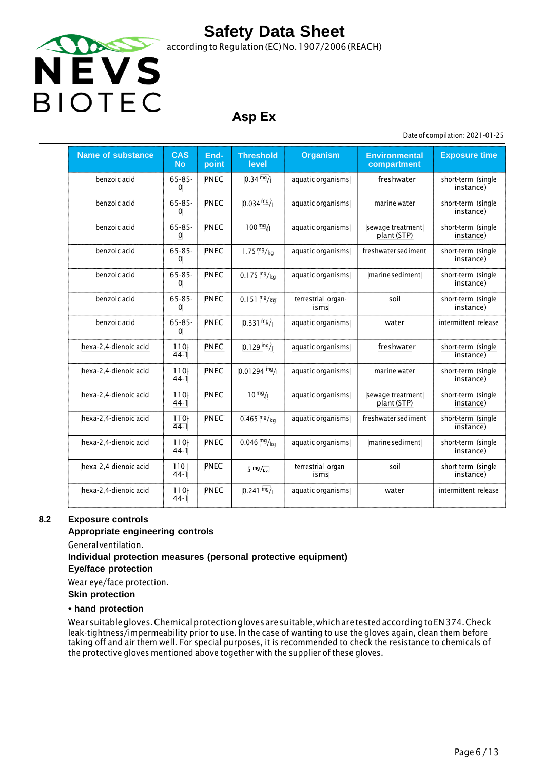

### **Asp Ex**

Date of compilation: 2021-01-25

| <b>Name of substance</b> | <b>CAS</b><br><b>No</b> | End-<br>point | <b>Threshold</b><br>level | <b>Organism</b>            | <b>Environmental</b><br>compartment | <b>Exposure time</b>            |
|--------------------------|-------------------------|---------------|---------------------------|----------------------------|-------------------------------------|---------------------------------|
| benzoic acid             | $65 - 85 -$<br>$\Omega$ | <b>PNEC</b>   | $0.34 \frac{mg}{l}$       | aquatic organisms          | freshwater                          | short-term (single<br>instance) |
| benzoic acid             | $65 - 85 -$<br>$\Omega$ | <b>PNEC</b>   | $0.034 \text{ mg}$ /      | aquatic organisms          | marine water                        | short-term (single<br>instance) |
| benzoic acid             | $65 - 85 -$<br>$\Omega$ | <b>PNEC</b>   | $100 \frac{mg}{l}$        | aquatic organisms          | sewage treatment<br>plant (STP)     | short-term (single<br>instance) |
| benzoic acid             | $65 - 85 -$<br>$\Omega$ | <b>PNEC</b>   | 1.75 $mg/kg$              | aquatic organisms          | freshwater sediment                 | short-term (single<br>instance) |
| benzoic acid             | $65 - 85 -$<br>$\Omega$ | <b>PNEC</b>   | $0.175 \frac{mg}{kg}$     | aquatic organisms          | marine sediment                     | short-term (single<br>instance) |
| benzoic acid             | $65 - 85 -$<br>$\Omega$ | <b>PNEC</b>   | $0.151 \frac{mg}{kg}$     | terrestrial organ-<br>isms | soil                                | short-term (single<br>instance) |
| benzoic acid             | $65 - 85 -$<br>$\Omega$ | <b>PNEC</b>   | $0.331 \frac{mg}{l}$      | aquatic organisms          | water                               | intermittent release            |
| hexa-2,4-dienoic acid    | $110 -$<br>$44-1$       | <b>PNEC</b>   | $0.129 \frac{mg}{l}$      | aquatic organisms          | freshwater                          | short-term (single<br>instance) |
| hexa-2,4-dienoic acid    | $110-$<br>$44-1$        | <b>PNEC</b>   | $0.01294$ mg/             | aquatic organisms          | marine water                        | short-term (single<br>instance) |
| hexa-2,4-dienoic acid    | $110 -$<br>$44-1$       | <b>PNEC</b>   | $10^{mg}/1$               | aquatic organisms          | sewage treatment<br>plant (STP)     | short-term (single<br>instance) |
| hexa-2,4-dienoic acid    | $110 -$<br>$44-1$       | <b>PNEC</b>   | $0.465 \frac{mg}{kg}$     | aquatic organisms          | freshwater sediment                 | short-term (single<br>instance) |
| hexa-2,4-dienoic acid    | $110-$<br>$44-1$        | <b>PNEC</b>   | $0.046 \frac{mg}{kg}$     | aquatic organisms          | marine sediment                     | short-term (single<br>instance) |
| hexa 2,4 dienoic acid    | $110 -$<br>$44-1$       | <b>PNEC</b>   | $5 \frac{mg}{ka}$         | terrestrial organ-<br>isms | soil                                | short term (single<br>instance) |
| hexa-2,4-dienoic acid    | $110 -$<br>$44-1$       | <b>PNEC</b>   | $0.241 \frac{mg}{l}$      | aquatic organisms          | water                               | intermittent release            |

#### **8.2 Exposure controls**

#### **Appropriate engineering controls**

General ventilation.

### **Individual protection measures (personal protective equipment)**

**Eye/face protection**

Wear eye/face protection.

**Skin protection**

#### **• hand protection**

Wear suitable gloves. Chemical protection gloves are suitable, which are tested according toEN 374. Check leak-tightness/impermeability prior to use. In the case of wanting to use the gloves again, clean them before taking off and air them well. For special purposes, it is recommended to check the resistance to chemicals of the protective gloves mentioned above together with the supplier of these gloves.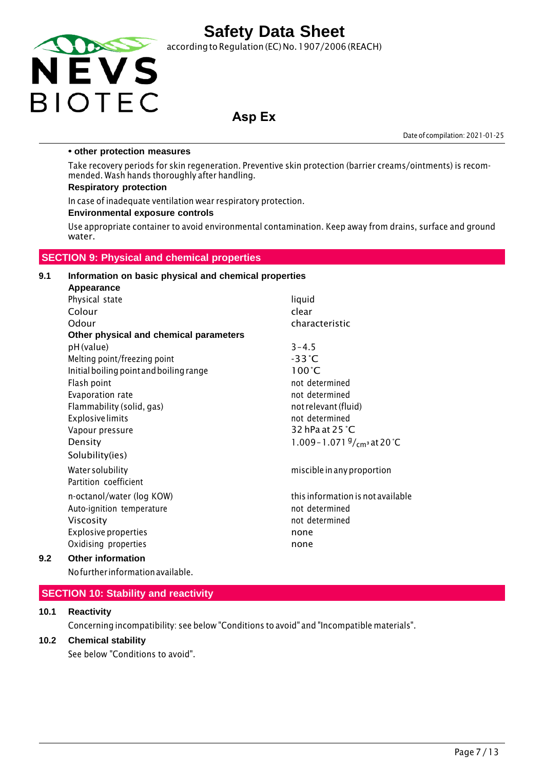

according to Regulation (EC) No.1907/2006 (REACH)

### **Asp Ex**

Date of compilation: 2021-01-25

#### **• other protection measures**

Take recovery periods for skin regeneration. Preventive skin protection (barrier creams/ointments) is recommended. Wash hands thoroughly after handling.

#### **Respiratory protection**

In case of inadequate ventilation wear respiratory protection.

#### **Environmental exposure controls**

Use appropriate container to avoid environmental contamination. Keep away from drains, surface and ground water.

#### **SECTION 9: Physical and chemical properties**

#### **9.1 Information on basic physical and chemical properties Appearance**

|     | Physical state                          | liquid                                |
|-----|-----------------------------------------|---------------------------------------|
|     | Colour                                  | clear                                 |
|     | Odour                                   | characteristic                        |
|     | Other physical and chemical parameters  |                                       |
|     | pH (value)                              | $3 - 4.5$                             |
|     | Melting point/freezing point            | $-33^{\circ}$ C                       |
|     | Initial boiling point and boiling range | $100^{\circ}$ C                       |
|     | Flash point                             | not determined                        |
|     | Evaporation rate                        | not determined                        |
|     | Flammability (solid, gas)               | not relevant (fluid)                  |
|     | <b>Explosive limits</b>                 | not determined                        |
|     | Vapour pressure                         | 32 hPa at 25 °C                       |
|     | Density                                 | 1.009 - 1.071 $\frac{9}{cm}$ at 20 °C |
|     | Solubility(ies)                         |                                       |
|     | Water solubility                        | miscible in any proportion            |
|     | Partition coefficient                   |                                       |
|     | n-octanol/water (log KOW)               | this information is not available     |
|     | Auto-ignition temperature               | not determined                        |
|     | Viscosity                               | not determined                        |
|     | <b>Explosive properties</b>             | none                                  |
|     | Oxidising properties                    | none                                  |
| 9.2 | <b>Other information</b>                |                                       |
|     |                                         |                                       |

Nofurther informationavailable.

#### **SECTION 10: Stability and reactivity**

#### **10.1 Reactivity**

Concerning incompatibility: see below "Conditions to avoid" and "Incompatible materials".

#### **10.2 Chemical stability**

See below "Conditions to avoid".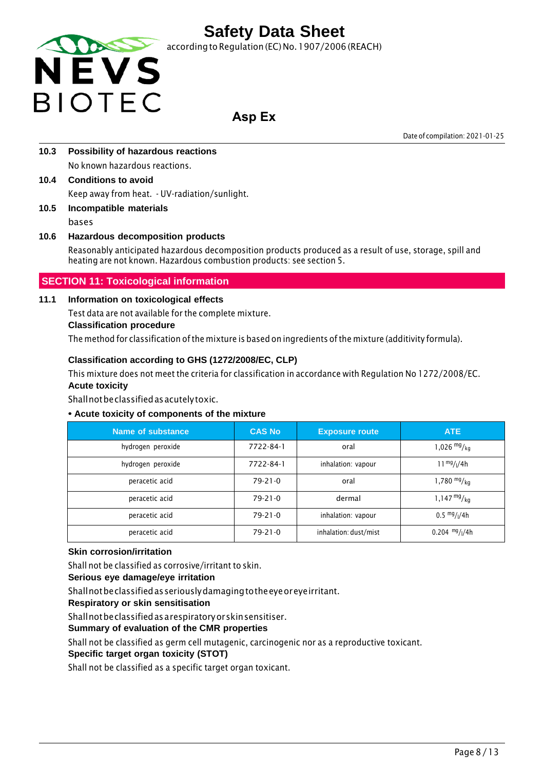

according to Regulation (EC) No. 1907/2006 (REACH)

### **Asp Ex**

Date of compilation: 2021-01-25

- **10.3 Possibility of hazardous reactions** No known hazardous reactions.
- **10.4 Conditions to avoid** Keep away from heat. - UV-radiation/sunlight.
- **10.5 Incompatible materials** bases

### **10.6 Hazardous decomposition products**

Reasonably anticipated hazardous decomposition products produced as a result of use, storage, spill and heating are not known. Hazardous combustion products: see section 5.

### **SECTION 11: Toxicological information**

#### **11.1 Information on toxicological effects**

Test data are not available for the complete mixture.

#### **Classification procedure**

The method for classification of the mixture is based on ingredients of the mixture (additivity formula).

#### **Classification according to GHS (1272/2008/EC, CLP)**

This mixture does not meet the criteria for classification in accordance with Regulation No 1272/2008/EC. **Acute toxicity**

Shall not be classified as acutely toxic.

#### **• Acute toxicity of components of the mixture**

| Name of substance | <b>CAS No</b> | <b>Exposure route</b> | <b>ATE</b>                            |
|-------------------|---------------|-----------------------|---------------------------------------|
| hydrogen peroxide | 7722-84-1     | oral                  | 1,026 $mg/kq$                         |
| hydrogen peroxide | 7722-84-1     | inhalation: vapour    | $11^{mg}/(4h)$                        |
| peracetic acid    | $79-21-0$     | oral                  | 1,780 $mg/kq$                         |
| peracetic acid    | $79-21-0$     | dermal                | $1,147 \frac{mg}{kg}$                 |
| peracetic acid    | $79 - 21 - 0$ | inhalation: vapour    | $0.5 \frac{mg}{l}$ / <sub>1</sub> /4h |
| peracetic acid    | $79-21-0$     | inhalation: dust/mist | $0.204$ mg/ $1/4h$                    |

#### **Skin corrosion/irritation**

Shall not be classified as corrosive/irritant to skin.

#### **Serious eye damage/eye irritation**

Shall not be classified as seriously damaging tothe eye or eye irritant.

**Respiratory or skin sensitisation**

Shall not be classified as a respiratory or skin sensitiser.

#### **Summary of evaluation of the CMR properties**

Shall not be classified as germ cell mutagenic, carcinogenic nor as a reproductive toxicant.

#### **Specific target organ toxicity (STOT)**

Shall not be classified as a specific target organ toxicant.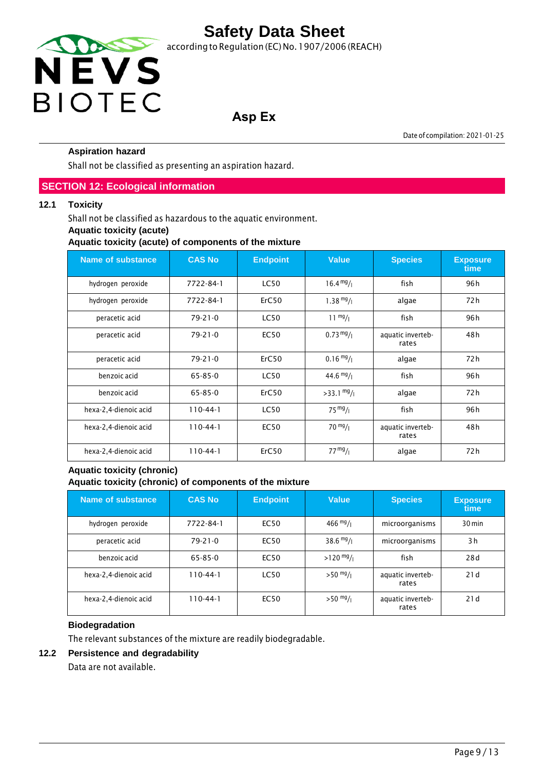

## **Asp Ex**

Date of compilation: 2021-01-25

#### **Aspiration hazard**

Shall not be classified as presenting an aspiration hazard.

#### **SECTION 12: Ecological information**

#### **12.1 Toxicity**

Shall not be classified as hazardous to the aquatic environment.

#### **Aquatic toxicity (acute)**

**Aquatic toxicity (acute) of components of the mixture**

| <b>Name of substance</b> | <b>CAS No</b> | <b>Endpoint</b> | <b>Value</b>         | <b>Species</b>             | <b>Exposure</b><br>time |
|--------------------------|---------------|-----------------|----------------------|----------------------------|-------------------------|
| hydrogen peroxide        | 7722-84-1     | <b>LC50</b>     | $16.4 \frac{mg}{l}$  | fish                       | 96 h                    |
| hydrogen peroxide        | 7722-84-1     | ErC50           | $1.38 \frac{mg}{l}$  | algae                      | 72 h                    |
| peracetic acid           | $79 - 21 - 0$ | <b>LC50</b>     | $11 \frac{mg}{l}$    | fish                       | 96 h                    |
| peracetic acid           | $79 - 21 - 0$ | <b>EC50</b>     | $0.73 \frac{mg}{l}$  | aquatic inverteb-<br>rates | 48 h                    |
| peracetic acid           | $79 - 21 - 0$ | ErC50           | $0.16 \frac{mg}{l}$  | algae                      | 72 h                    |
| benzoic acid             | $65 - 85 - 0$ | <b>LC50</b>     | $44.6 \frac{mg}{l}$  | fish                       | 96 h                    |
| benzoic acid             | $65 - 85 - 0$ | ErC50           | $>33.1 \frac{mg}{l}$ | algae                      | 72 h                    |
| hexa-2,4-dienoic acid    | $110-44-1$    | <b>LC50</b>     | $75 \frac{mg}{l}$    | fish                       | 96 h                    |
| hexa-2,4-dienoic acid    | $110-44-1$    | <b>EC50</b>     | $70 \frac{mg}{l}$    | aquatic inverteb-<br>rates | 48 h                    |
| hexa-2,4-dienoic acid    | $110-44-1$    | ErC50           | 77 <sup>mg</sup> /1  | algae                      | 72 h                    |

#### **Aquatic toxicity (chronic) Aquatic toxicity (chronic) of components of the mixture**

| Name of substance     | <b>CAS No</b>  | <b>Endpoint</b> | <b>Value</b>        | <b>Species</b>             | <b>Exposure</b><br>time |
|-----------------------|----------------|-----------------|---------------------|----------------------------|-------------------------|
| hydrogen peroxide     | 7722-84-1      | EC50            | $466 \frac{mg}{l}$  | microorganisms             | 30 min                  |
| peracetic acid        | $79 - 21 - 0$  | EC50            | $38.6 \frac{mg}{l}$ | microorganisms             | 3h                      |
| benzoic acid          | 65-85-0        | <b>EC50</b>     | $>120$ mg/          | fish                       | 28d                     |
| hexa-2,4-dienoic acid | $110 - 44 - 1$ | <b>LC50</b>     | $>50$ mg/ $_1$      | aquatic inverteb-<br>rates | 21d                     |
| hexa-2,4-dienoic acid | $110 - 44 - 1$ | <b>EC50</b>     | $>50$ mg/           | aquatic inverteb-<br>rates | 21d                     |

#### **Biodegradation**

The relevant substances of the mixture are readily biodegradable.

#### **12.2 Persistence and degradability**

Data are not available.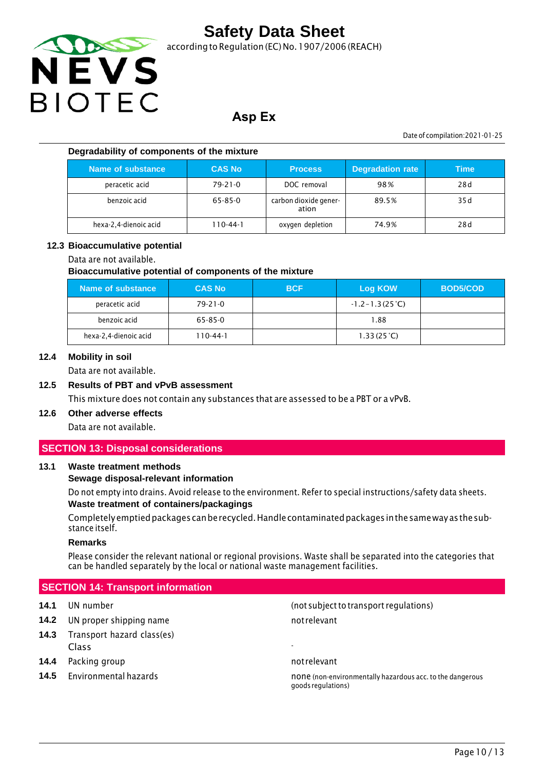

according to Regulation (EC) No.1907/2006 (REACH)

### **Asp Ex**

Date of compilation:2021-01-25

#### **Degradability of components of the mixture**

| Name of substance     | <b>CAS No</b> | <b>Process</b>                 | <b>Degradation rate</b> | Time |
|-----------------------|---------------|--------------------------------|-------------------------|------|
| peracetic acid        | $79 - 21 - 0$ | DOC removal                    | 98%                     | 28d  |
| benzoic acid          | 65-85-0       | carbon dioxide gener-<br>ation | 89.5%                   | 35 d |
| hexa-2,4-dienoic acid | 110-44-1      | oxygen depletion               | 74.9%                   | 28d  |

#### **12.3 Bioaccumulative potential**

#### Data are not available.

#### **Bioaccumulative potential of components of the mixture**

| Name of substance     | <b>CAS No</b> | <b>BCF</b> | Log KOW                   | <b>BOD5/COD</b> |
|-----------------------|---------------|------------|---------------------------|-----------------|
| peracetic acid        | $79 - 21 - 0$ |            | $-1.2 - 1.3(25^{\circ}C)$ |                 |
| benzoic acid          | 65-85-0       |            | 1.88                      |                 |
| hexa-2,4-dienoic acid | 110-44-1      |            | 1.33(25 <sup>o</sup> C)   |                 |

#### **12.4 Mobility in soil**

Data are not available.

#### **12.5 Results of PBT and vPvB assessment**

This mixture does not contain any substances that are assessed to be a PBT or a vPvB.

### **12.6 Other adverse effects**

Data are not available.

#### **SECTION 13: Disposal considerations**

#### **13.1 Waste treatment methods**

#### **Sewage disposal-relevant information**

Do not empty into drains. Avoid release to the environment. Refer to special instructions/safety data sheets. **Waste treatment of containers/packagings**

Completely emptied packages canbe recycled. Handle contaminated packages inthe same way asthe substance itself.

#### **Remarks**

Please consider the relevant national or regional provisions. Waste shall be separated into the categories that can be handled separately by the local or national waste management facilities.

#### **SECTION 14: Transport information**

- **14.2** UN proper shipping name not relevant
- **14.3** Transport hazard class(es) Class -
- **14.4** Packing group **not relevant** and relevant
- 

**14.1** UN number (not subjectto transport regulations)

**14.5** Environmental hazards none is none (non-environmentally hazardous acc. to the dangerous goodsregulations)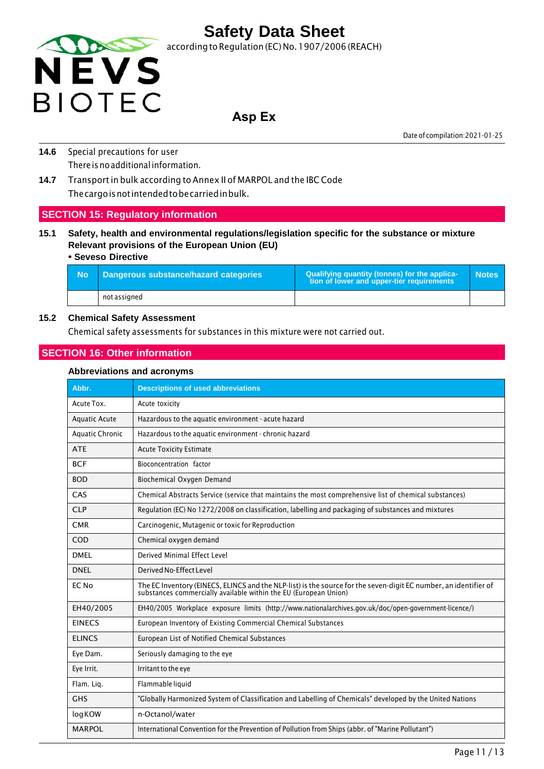

### **Asp Ex**

Date of compilation:2021-01-25

- **14.6** Special precautions for user There is no additional information.
- **14.7** Transport in bulk according to Annex II of MARPOL and the IBC Code The cargo is not intended tobe carried in bulk.

#### **SECTION 15: Regulatory information**

**15.1 Safety, health and environmental regulations/legislation specific for the substance or mixture Relevant provisions of the European Union (EU)**

#### **• Seveso Directive**

| - No | Dangerous substance/hazard categories | Qualifying quantity (tonnes) for the applica-<br>tion of lower and upper-tier requirements | <b>Notes</b> |
|------|---------------------------------------|--------------------------------------------------------------------------------------------|--------------|
|      | not assigned                          |                                                                                            |              |

#### **15.2 Chemical Safety Assessment**

Chemical safety assessments for substances in this mixture were not carried out.

#### **SECTION 16: Other information**

#### **Abbreviations and acronyms**

| Abbr.                  | <b>Descriptions of used abbreviations</b>                                                                                                                                         |
|------------------------|-----------------------------------------------------------------------------------------------------------------------------------------------------------------------------------|
| Acute Tox.             | Acute toxicity                                                                                                                                                                    |
| <b>Aquatic Acute</b>   | Hazardous to the aquatic environment - acute hazard                                                                                                                               |
| <b>Aquatic Chronic</b> | Hazardous to the aquatic environment - chronic hazard                                                                                                                             |
| <b>ATE</b>             | <b>Acute Toxicity Estimate</b>                                                                                                                                                    |
| <b>BCF</b>             | Bioconcentration factor                                                                                                                                                           |
| <b>BOD</b>             | Biochemical Oxygen Demand                                                                                                                                                         |
| CAS                    | Chemical Abstracts Service (service that maintains the most comprehensive list of chemical substances)                                                                            |
| <b>CLP</b>             | Regulation (EC) No 1272/2008 on classification, labelling and packaging of substances and mixtures                                                                                |
| <b>CMR</b>             | Carcinogenic, Mutagenic or toxic for Reproduction                                                                                                                                 |
| COD                    | Chemical oxygen demand                                                                                                                                                            |
| DMFI                   | Derived Minimal Effect Level                                                                                                                                                      |
| <b>DNEL</b>            | Derived No-Effect Level                                                                                                                                                           |
| EC No                  | The EC Inventory (EINECS, ELINCS and the NLP-list) is the source for the seven-digit EC number, an identifier of substances commercially available within the EU (European Union) |
| EH40/2005              | EH40/2005 Workplace exposure limits (http://www.nationalarchives.gov.uk/doc/open-government-licence/)                                                                             |
| <b>EINECS</b>          | European Inventory of Existing Commercial Chemical Substances                                                                                                                     |
| <b>ELINCS</b>          | European List of Notified Chemical Substances                                                                                                                                     |
| Eye Dam.               | Seriously damaging to the eye                                                                                                                                                     |
| Eye Irrit.             | Irritant to the eye                                                                                                                                                               |
| Flam. Lig.             | Flammable liquid                                                                                                                                                                  |
| <b>GHS</b>             | "Globally Harmonized System of Classification and Labelling of Chemicals" developed by the United Nations                                                                         |
| logKOW                 | n-Octanol/water                                                                                                                                                                   |
| <b>MARPOL</b>          | International Convention for the Prevention of Pollution from Ships (abbr. of "Marine Pollutant")                                                                                 |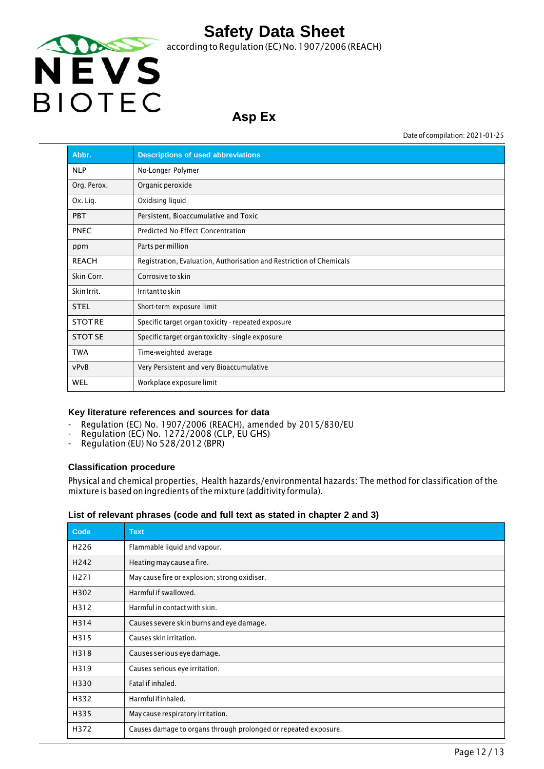

### **Asp Ex**

Date of compilation: 2021-01-25

| Abbr.          | <b>Descriptions of used abbreviations</b>                            |
|----------------|----------------------------------------------------------------------|
| <b>NLP</b>     | No-Longer Polymer                                                    |
| Org. Perox.    | Organic peroxide                                                     |
| Ox. Lig.       | Oxidising liquid                                                     |
| <b>PBT</b>     | Persistent, Bioaccumulative and Toxic                                |
| <b>PNEC</b>    | Predicted No-Effect Concentration                                    |
| ppm            | Parts per million                                                    |
| <b>REACH</b>   | Registration, Evaluation, Authorisation and Restriction of Chemicals |
| Skin Corr.     | Corrosive to skin                                                    |
| Skin Irrit.    | Irritanttoskin                                                       |
| <b>STEL</b>    | Short-term exposure limit                                            |
| <b>STOTRE</b>  | Specific target organ toxicity - repeated exposure                   |
| <b>STOT SE</b> | Specific target organ toxicity - single exposure                     |
| <b>TWA</b>     | Time-weighted average                                                |
| vPvB           | Very Persistent and very Bioaccumulative                             |
| <b>WEL</b>     | Workplace exposure limit                                             |

#### **Key literature references and sources for data**

- Regulation (EC) No. 1907/2006 (REACH), amended by 2015/830/EU
- Regulation (EC) No. 1272/2008 (CLP, EU GHS)
- Regulation (EU) No 528/2012 (BPR)

#### **Classification procedure**

Physical and chemical properties, Health hazards/environmental hazards: The method for classification of the mixture is based on ingredients of the mixture (additivity formula).

#### **List of relevant phrases (code and full text as stated in chapter 2 and 3)**

| Code             | <b>Text</b>                                                     |
|------------------|-----------------------------------------------------------------|
| H <sub>226</sub> | Flammable liquid and vapour.                                    |
| H <sub>242</sub> | Heating may cause a fire.                                       |
| H <sub>271</sub> | May cause fire or explosion; strong oxidiser.                   |
| H302             | Harmful if swallowed.                                           |
| H312             | Harmful in contact with skin.                                   |
| H314             | Causes severe skin burns and eye damage.                        |
| H315             | Causes skin irritation.                                         |
| H318             | Causes serious eye damage.                                      |
| H319             | Causes serious eye irritation.                                  |
| H330             | Fatal if inhaled.                                               |
| H332             | Harmfulifinhaled.                                               |
| H335             | May cause respiratory irritation.                               |
| H372             | Causes damage to organs through prolonged or repeated exposure. |